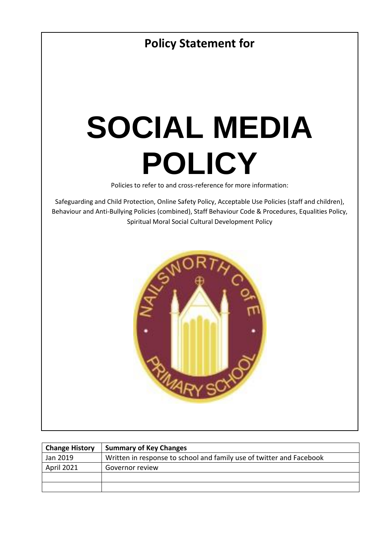

| <b>Change History</b> | <b>Summary of Key Changes</b>                                        |
|-----------------------|----------------------------------------------------------------------|
| Jan 2019              | Written in response to school and family use of twitter and Facebook |
| April 2021            | Governor review                                                      |
|                       |                                                                      |
|                       |                                                                      |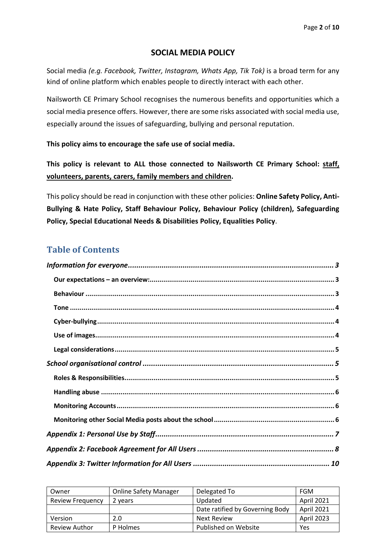#### **SOCIAL MEDIA POLICY**

Social media *(e.g. Facebook, Twitter, Instagram, Whats App, Tik Tok)* is a broad term for any kind of online platform which enables people to directly interact with each other.

Nailsworth CE Primary School recognises the numerous benefits and opportunities which a social media presence offers. However, there are some risks associated with social media use, especially around the issues of safeguarding, bullying and personal reputation.

**This policy aims to encourage the safe use of social media.** 

**This policy is relevant to ALL those connected to Nailsworth CE Primary School: staff, volunteers, parents, carers, family members and children.**

This policy should be read in conjunction with these other policies: **Online Safety Policy, Anti-Bullying & Hate Policy, Staff Behaviour Policy, Behaviour Policy (children), Safeguarding Policy, Special Educational Needs & Disabilities Policy, Equalities Policy**.

## **Table of Contents**

| Owner                   | <b>Online Safety Manager</b> | Delegated To                    | FGM               |
|-------------------------|------------------------------|---------------------------------|-------------------|
| <b>Review Frequency</b> | 2 years                      | Updated                         | April 2021        |
|                         |                              | Date ratified by Governing Body | <b>April 2021</b> |
| Version                 | 2.0                          | Next Review                     | April 2023        |
| <b>Review Author</b>    | P Holmes                     | Published on Website            | Yes               |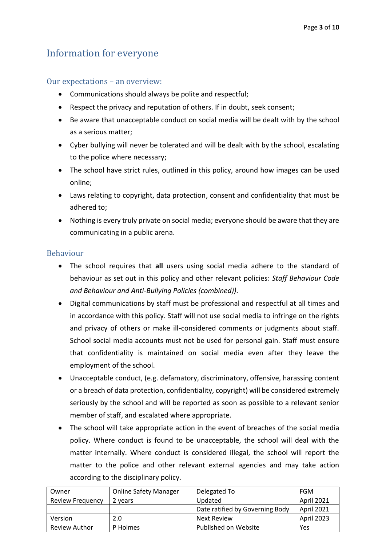## <span id="page-2-0"></span>Information for everyone

#### <span id="page-2-1"></span>Our expectations – an overview:

- Communications should always be polite and respectful;
- Respect the privacy and reputation of others. If in doubt, seek consent;
- Be aware that unacceptable conduct on social media will be dealt with by the school as a serious matter;
- Cyber bullying will never be tolerated and will be dealt with by the school, escalating to the police where necessary;
- The school have strict rules, outlined in this policy, around how images can be used online;
- Laws relating to copyright, data protection, consent and confidentiality that must be adhered to;
- Nothing is every truly private on social media; everyone should be aware that they are communicating in a public arena.

#### <span id="page-2-2"></span>Behaviour

- The school requires that **all** users using social media adhere to the standard of behaviour as set out in this policy and other relevant policies: *Staff Behaviour Code and Behaviour and Anti-Bullying Policies (combined))*.
- Digital communications by staff must be professional and respectful at all times and in accordance with this policy. Staff will not use social media to infringe on the rights and privacy of others or make ill-considered comments or judgments about staff. School social media accounts must not be used for personal gain. Staff must ensure that confidentiality is maintained on social media even after they leave the employment of the school.
- Unacceptable conduct, (e.g. defamatory, discriminatory, offensive, harassing content or a breach of data protection, confidentiality, copyright) will be considered extremely seriously by the school and will be reported as soon as possible to a relevant senior member of staff, and escalated where appropriate.
- The school will take appropriate action in the event of breaches of the social media policy. Where conduct is found to be unacceptable, the school will deal with the matter internally. Where conduct is considered illegal, the school will report the matter to the police and other relevant external agencies and may take action according to the disciplinary policy.

| Owner                   | <b>Online Safety Manager</b> | Delegated To                    | <b>FGM</b>        |
|-------------------------|------------------------------|---------------------------------|-------------------|
| <b>Review Frequency</b> | 2 years                      | Updated                         | <b>April 2021</b> |
|                         |                              | Date ratified by Governing Body | <b>April 2021</b> |
| <b>Version</b>          | 2.0                          | <b>Next Review</b>              | April 2023        |
| <b>Review Author</b>    | P Holmes                     | Published on Website            | Yes               |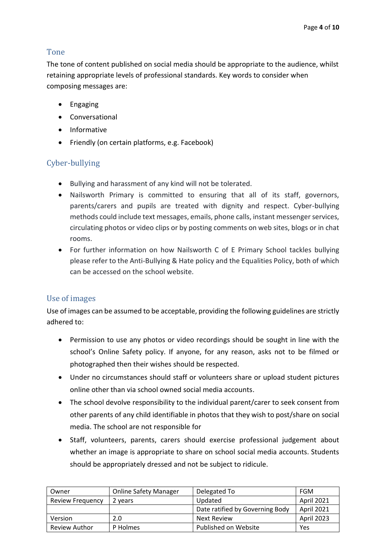## <span id="page-3-0"></span>Tone

The tone of content published on social media should be appropriate to the audience, whilst retaining appropriate levels of professional standards. Key words to consider when composing messages are:

- Engaging
- Conversational
- Informative
- Friendly (on certain platforms, e.g. Facebook)

## <span id="page-3-1"></span>Cyber-bullying

- Bullying and harassment of any kind will not be tolerated.
- Nailsworth Primary is committed to ensuring that all of its staff, governors, parents/carers and pupils are treated with dignity and respect. Cyber-bullying methods could include text messages, emails, phone calls, instant messenger services, circulating photos or video clips or by posting comments on web sites, blogs or in chat rooms.
- For further information on how Nailsworth C of E Primary School tackles bullying please refer to the Anti-Bullying & Hate policy and the Equalities Policy, both of which can be accessed on the school website.

## <span id="page-3-2"></span>Use of images

Use of images can be assumed to be acceptable, providing the following guidelines are strictly adhered to:

- Permission to use any photos or video recordings should be sought in line with the school's Online Safety policy. If anyone, for any reason, asks not to be filmed or photographed then their wishes should be respected.
- Under no circumstances should staff or volunteers share or upload student pictures online other than via school owned social media accounts.
- The school devolve responsibility to the individual parent/carer to seek consent from other parents of any child identifiable in photos that they wish to post/share on social media. The school are not responsible for
- Staff, volunteers, parents, carers should exercise professional judgement about whether an image is appropriate to share on school social media accounts. Students should be appropriately dressed and not be subject to ridicule.

| Owner                   | <b>Online Safety Manager</b> | Delegated To                    | <b>FGM</b> |
|-------------------------|------------------------------|---------------------------------|------------|
| <b>Review Frequency</b> | 2 years                      | Updated                         | April 2021 |
|                         |                              | Date ratified by Governing Body | April 2021 |
| Version                 | 2.0                          | Next Review                     | April 2023 |
| <b>Review Author</b>    | P Holmes                     | Published on Website            | Yes        |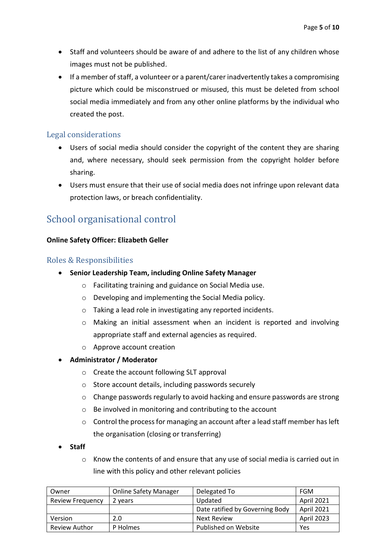- Staff and volunteers should be aware of and adhere to the list of any children whose images must not be published.
- If a member of staff, a volunteer or a parent/carer inadvertently takes a compromising picture which could be misconstrued or misused, this must be deleted from school social media immediately and from any other online platforms by the individual who created the post.

#### <span id="page-4-0"></span>Legal considerations

- Users of social media should consider the copyright of the content they are sharing and, where necessary, should seek permission from the copyright holder before sharing.
- Users must ensure that their use of social media does not infringe upon relevant data protection laws, or breach confidentiality.

## <span id="page-4-1"></span>School organisational control

#### <span id="page-4-2"></span>**Online Safety Officer: Elizabeth Geller**

#### Roles & Responsibilities

- **Senior Leadership Team, including Online Safety Manager**
	- o Facilitating training and guidance on Social Media use.
	- o Developing and implementing the Social Media policy.
	- o Taking a lead role in investigating any reported incidents.
	- o Making an initial assessment when an incident is reported and involving appropriate staff and external agencies as required.
	- o Approve account creation

#### • **Administrator / Moderator**

- o Create the account following SLT approval
- o Store account details, including passwords securely
- o Change passwords regularly to avoid hacking and ensure passwords are strong
- o Be involved in monitoring and contributing to the account
- o Control the process for managing an account after a lead staff member has left the organisation (closing or transferring)
- **Staff**
	- $\circ$  Know the contents of and ensure that any use of social media is carried out in line with this policy and other relevant policies

| Owner                   | <b>Online Safety Manager</b> | Delegated To                    | <b>FGM</b>        |
|-------------------------|------------------------------|---------------------------------|-------------------|
| <b>Review Frequency</b> | 2 years                      | Updated                         | April 2021        |
|                         |                              | Date ratified by Governing Body | <b>April 2021</b> |
| Version                 | 2.0                          | Next Review                     | April 2023        |
| <b>Review Author</b>    | P Holmes                     | Published on Website            | Yes               |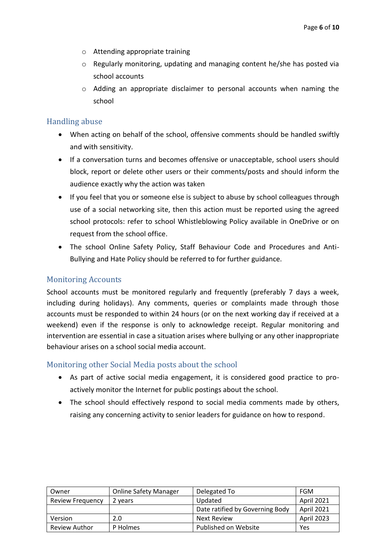- o Attending appropriate training
- o Regularly monitoring, updating and managing content he/she has posted via school accounts
- o Adding an appropriate disclaimer to personal accounts when naming the school

#### <span id="page-5-0"></span>Handling abuse

- When acting on behalf of the school, offensive comments should be handled swiftly and with sensitivity.
- If a conversation turns and becomes offensive or unacceptable, school users should block, report or delete other users or their comments/posts and should inform the audience exactly why the action was taken
- If you feel that you or someone else is subject to abuse by school colleagues through use of a social networking site, then this action must be reported using the agreed school protocols: refer to school Whistleblowing Policy available in OneDrive or on request from the school office.
- The school Online Safety Policy, Staff Behaviour Code and Procedures and Anti-Bullying and Hate Policy should be referred to for further guidance.

#### <span id="page-5-1"></span>Monitoring Accounts

School accounts must be monitored regularly and frequently (preferably 7 days a week, including during holidays). Any comments, queries or complaints made through those accounts must be responded to within 24 hours (or on the next working day if received at a weekend) even if the response is only to acknowledge receipt. Regular monitoring and intervention are essential in case a situation arises where bullying or any other inappropriate behaviour arises on a school social media account.

#### <span id="page-5-2"></span>Monitoring other Social Media posts about the school

- As part of active social media engagement, it is considered good practice to proactively monitor the Internet for public postings about the school.
- The school should effectively respond to social media comments made by others, raising any concerning activity to senior leaders for guidance on how to respond.

| Owner                   | <b>Online Safety Manager</b> | Delegated To                    | FGM        |
|-------------------------|------------------------------|---------------------------------|------------|
| <b>Review Frequency</b> | 2 years                      | Updated                         | April 2021 |
|                         |                              | Date ratified by Governing Body | April 2021 |
| Version                 | 2.0                          | Next Review                     | April 2023 |
| <b>Review Author</b>    | P Holmes                     | Published on Website            | Yes        |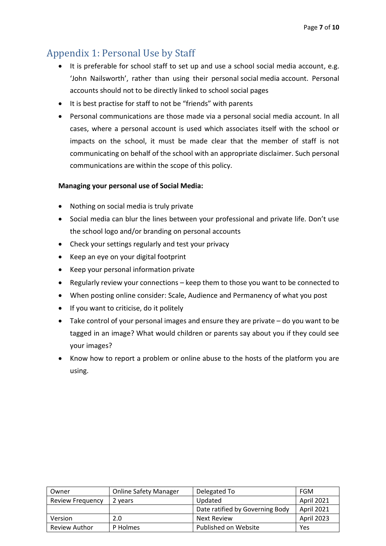# <span id="page-6-0"></span>Appendix 1: Personal Use by Staff

- It is preferable for school staff to set up and use a school social media account, e.g. 'John Nailsworth', rather than using their personal social media account. Personal accounts should not to be directly linked to school social pages
- It is best practise for staff to not be "friends" with parents
- Personal communications are those made via a personal social media account. In all cases, where a personal account is used which associates itself with the school or impacts on the school, it must be made clear that the member of staff is not communicating on behalf of the school with an appropriate disclaimer. Such personal communications are within the scope of this policy.

#### **Managing your personal use of Social Media:**

- Nothing on social media is truly private
- Social media can blur the lines between your professional and private life. Don't use the school logo and/or branding on personal accounts
- Check your settings regularly and test your privacy
- Keep an eye on your digital footprint
- Keep your personal information private
- Regularly review your connections keep them to those you want to be connected to
- When posting online consider: Scale, Audience and Permanency of what you post
- If you want to criticise, do it politely
- Take control of your personal images and ensure they are private do you want to be tagged in an image? What would children or parents say about you if they could see your images?
- Know how to report a problem or online abuse to the hosts of the platform you are using.

| Owner                   | <b>Online Safety Manager</b> | Delegated To                    | FGM               |
|-------------------------|------------------------------|---------------------------------|-------------------|
| <b>Review Frequency</b> | 2 years                      | Updated                         | April 2021        |
|                         |                              | Date ratified by Governing Body | <b>April 2021</b> |
| Version                 | 2.0                          | Next Review                     | April 2023        |
| <b>Review Author</b>    | P Holmes                     | Published on Website            | Yes               |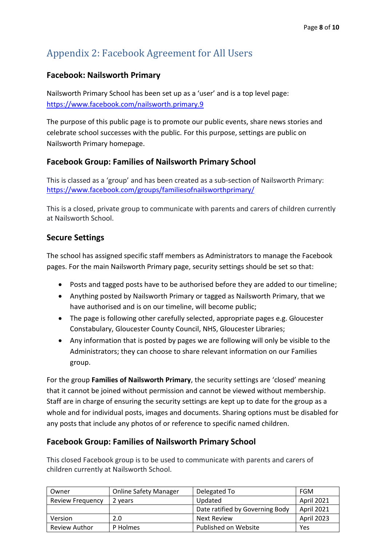# <span id="page-7-0"></span>Appendix 2: Facebook Agreement for All Users

## **Facebook: Nailsworth Primary**

Nailsworth Primary School has been set up as a 'user' and is a top level page: <https://www.facebook.com/nailsworth.primary.9>

The purpose of this public page is to promote our public events, share news stories and celebrate school successes with the public. For this purpose, settings are public on Nailsworth Primary homepage.

## **Facebook Group: Families of Nailsworth Primary School**

This is classed as a 'group' and has been created as a sub-section of Nailsworth Primary: <https://www.facebook.com/groups/familiesofnailsworthprimary/>

This is a closed, private group to communicate with parents and carers of children currently at Nailsworth School.

## **Secure Settings**

The school has assigned specific staff members as Administrators to manage the Facebook pages. For the main Nailsworth Primary page, security settings should be set so that:

- Posts and tagged posts have to be authorised before they are added to our timeline;
- Anything posted by Nailsworth Primary or tagged as Nailsworth Primary, that we have authorised and is on our timeline, will become public;
- The page is following other carefully selected, appropriate pages e.g. Gloucester Constabulary, Gloucester County Council, NHS, Gloucester Libraries;
- Any information that is posted by pages we are following will only be visible to the Administrators; they can choose to share relevant information on our Families group.

For the group **Families of Nailsworth Primary**, the security settings are 'closed' meaning that it cannot be joined without permission and cannot be viewed without membership. Staff are in charge of ensuring the security settings are kept up to date for the group as a whole and for individual posts, images and documents. Sharing options must be disabled for any posts that include any photos of or reference to specific named children.

#### **Facebook Group: Families of Nailsworth Primary School**

This closed Facebook group is to be used to communicate with parents and carers of children currently at Nailsworth School.

| Owner                   | <b>Online Safety Manager</b> | Delegated To                    | FGM               |
|-------------------------|------------------------------|---------------------------------|-------------------|
| <b>Review Frequency</b> | 2 years                      | Updated                         | April 2021        |
|                         |                              | Date ratified by Governing Body | <b>April 2021</b> |
| Version                 | 2.0                          | Next Review                     | April 2023        |
| <b>Review Author</b>    | P Holmes                     | Published on Website            | Yes               |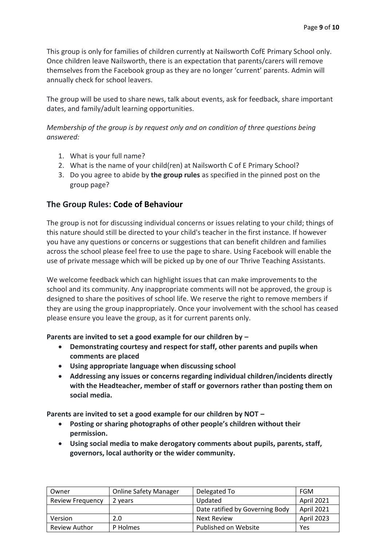This group is only for families of children currently at Nailsworth CofE Primary School only. Once children leave Nailsworth, there is an expectation that parents/carers will remove themselves from the Facebook group as they are no longer 'current' parents. Admin will annually check for school leavers.

The group will be used to share news, talk about events, ask for feedback, share important dates, and family/adult learning opportunities.

*Membership of the group is by request only and on condition of three questions being answered:*

- 1. What is your full name?
- 2. What is the name of your child(ren) at Nailsworth C of E Primary School?
- 3. Do you agree to abide by **the group rules** as specified in the pinned post on the group page?

#### **The Group Rules: Code of Behaviour**

The group is not for discussing individual concerns or issues relating to your child; things of this nature should still be directed to your child's teacher in the first instance. If however you have any questions or concerns or suggestions that can benefit children and families across the school please feel free to use the page to share. Using Facebook will enable the use of private message which will be picked up by one of our Thrive Teaching Assistants.

We welcome feedback which can highlight issues that can make improvements to the school and its community. Any inappropriate comments will not be approved, the group is designed to share the positives of school life. We reserve the right to remove members if they are using the group inappropriately. Once your involvement with the school has ceased please ensure you leave the group, as it for current parents only.

#### **Parents are invited to set a good example for our children by –**

- **Demonstrating courtesy and respect for staff, other parents and pupils when comments are placed**
- **Using appropriate language when discussing school**
- **Addressing any issues or concerns regarding individual children/incidents directly with the Headteacher, member of staff or governors rather than posting them on social media.**

**Parents are invited to set a good example for our children by NOT –**

- **Posting or sharing photographs of other people's children without their permission.**
- **Using social media to make derogatory comments about pupils, parents, staff, governors, local authority or the wider community.**

| Owner                   | <b>Online Safety Manager</b> | Delegated To                    | <b>FGM</b>        |
|-------------------------|------------------------------|---------------------------------|-------------------|
| <b>Review Frequency</b> | 2 years                      | Updated                         | April 2021        |
|                         |                              | Date ratified by Governing Body | <b>April 2021</b> |
| Version                 | 2.0                          | <b>Next Review</b>              | April 2023        |
| <b>Review Author</b>    | P Holmes                     | Published on Website            | Yes               |